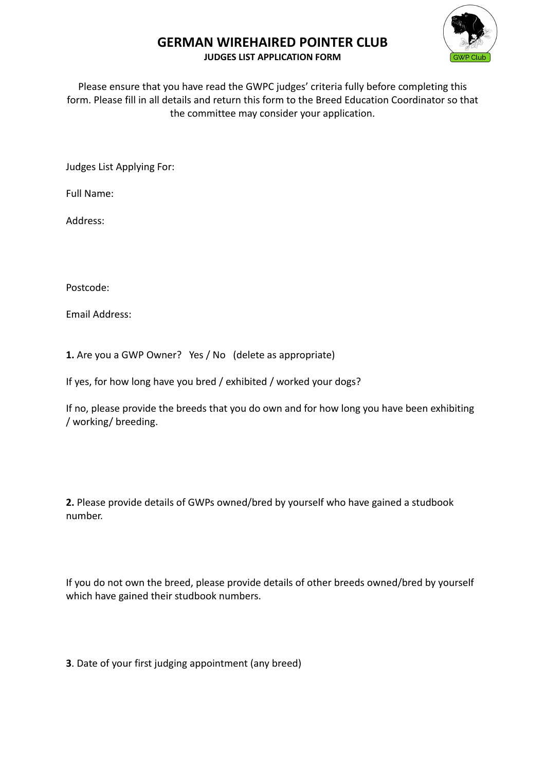# **GERMAN WIREHAIRED POINTER CLUB**



#### **JUDGES LIST APPLICATION FORM**

Please ensure that you have read the GWPC judges' criteria fully before completing this form. Please fill in all details and return this form to the Breed Education Coordinator so that the committee may consider your application.

Judges List Applying For:

Full Name:

Address:

Postcode:

Email Address:

**1.** Are you a GWP Owner? Yes / No (delete as appropriate)

If yes, for how long have you bred / exhibited / worked your dogs?

If no, please provide the breeds that you do own and for how long you have been exhibiting / working/ breeding.

**2.** Please provide details of GWPs owned/bred by yourself who have gained a studbook number.

If you do not own the breed, please provide details of other breeds owned/bred by yourself which have gained their studbook numbers.

**3**. Date of your first judging appointment (any breed)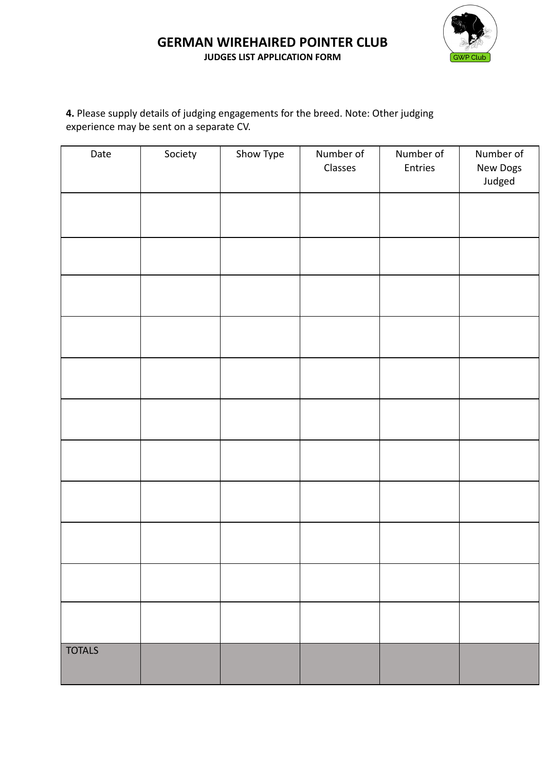## **GERMAN WIREHAIRED POINTER CLUB JUDGES LIST APPLICATION FORM**



# **4.** Please supply details of judging engagements for the breed. Note: Other judging experience may be sent on a separate CV.

| Date          | Society | Show Type | Number of<br>Classes | Number of<br>Entries | Number of<br>New Dogs<br>Judged |
|---------------|---------|-----------|----------------------|----------------------|---------------------------------|
|               |         |           |                      |                      |                                 |
|               |         |           |                      |                      |                                 |
|               |         |           |                      |                      |                                 |
|               |         |           |                      |                      |                                 |
|               |         |           |                      |                      |                                 |
|               |         |           |                      |                      |                                 |
|               |         |           |                      |                      |                                 |
|               |         |           |                      |                      |                                 |
|               |         |           |                      |                      |                                 |
|               |         |           |                      |                      |                                 |
|               |         |           |                      |                      |                                 |
| <b>TOTALS</b> |         |           |                      |                      |                                 |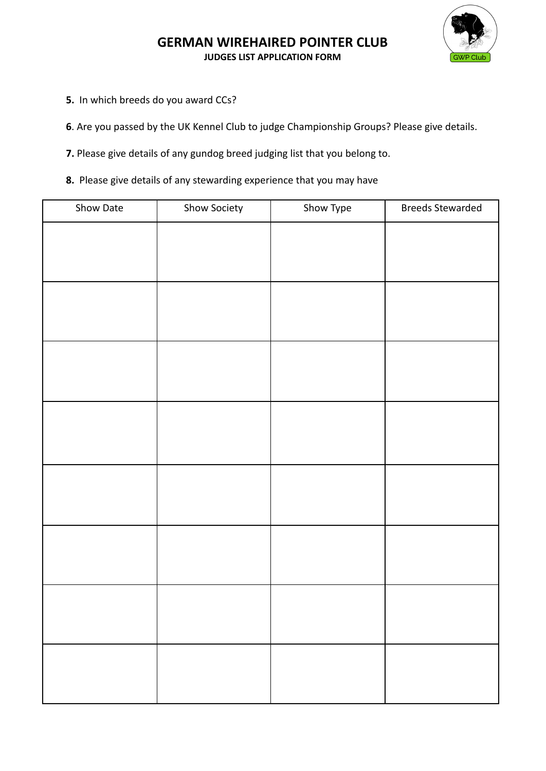

## **GERMAN WIREHAIRED POINTER CLUB JUDGES LIST APPLICATION FORM**

**5.** In which breeds do you award CCs?

**6**. Are you passed by the UK Kennel Club to judge Championship Groups? Please give details.

**7.** Please give details of any gundog breed judging list that you belong to.

**8.** Please give details of any stewarding experience that you may have

| Show Date | Show Society | Show Type | <b>Breeds Stewarded</b> |
|-----------|--------------|-----------|-------------------------|
|           |              |           |                         |
|           |              |           |                         |
|           |              |           |                         |
|           |              |           |                         |
|           |              |           |                         |
|           |              |           |                         |
|           |              |           |                         |
|           |              |           |                         |
|           |              |           |                         |
|           |              |           |                         |
|           |              |           |                         |
|           |              |           |                         |
|           |              |           |                         |
|           |              |           |                         |
|           |              |           |                         |
|           |              |           |                         |
|           |              |           |                         |
|           |              |           |                         |
|           |              |           |                         |
|           |              |           |                         |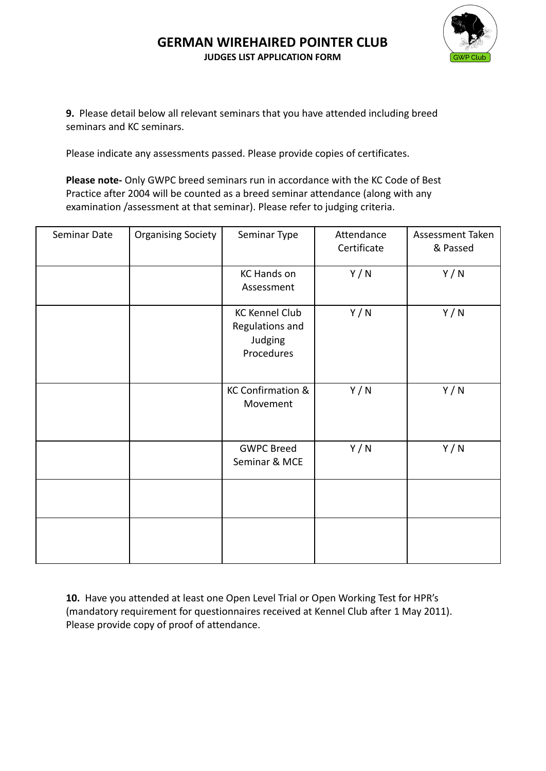#### **GERMAN WIREHAIRED POINTER CLUB JUDGES LIST APPLICATION FORM**



**9.** Please detail below all relevant seminars that you have attended including breed seminars and KC seminars.

Please indicate any assessments passed. Please provide copies of certificates.

**Please note-** Only GWPC breed seminars run in accordance with the KC Code of Best Practice after 2004 will be counted as a breed seminar attendance (along with any examination /assessment at that seminar). Please refer to judging criteria.

| Seminar Date | <b>Organising Society</b> | Seminar Type                                                      | Attendance<br>Certificate | Assessment Taken<br>& Passed |
|--------------|---------------------------|-------------------------------------------------------------------|---------------------------|------------------------------|
|              |                           | <b>KC Hands on</b><br>Assessment                                  | Y/N                       | Y/N                          |
|              |                           | <b>KC Kennel Club</b><br>Regulations and<br>Judging<br>Procedures | Y/N                       | Y/N                          |
|              |                           | KC Confirmation &<br>Movement                                     | Y/N                       | Y/N                          |
|              |                           | <b>GWPC Breed</b><br>Seminar & MCE                                | Y/N                       | Y/N                          |
|              |                           |                                                                   |                           |                              |
|              |                           |                                                                   |                           |                              |

**10.** Have you attended at least one Open Level Trial or Open Working Test for HPR's (mandatory requirement for questionnaires received at Kennel Club after 1 May 2011). Please provide copy of proof of attendance.